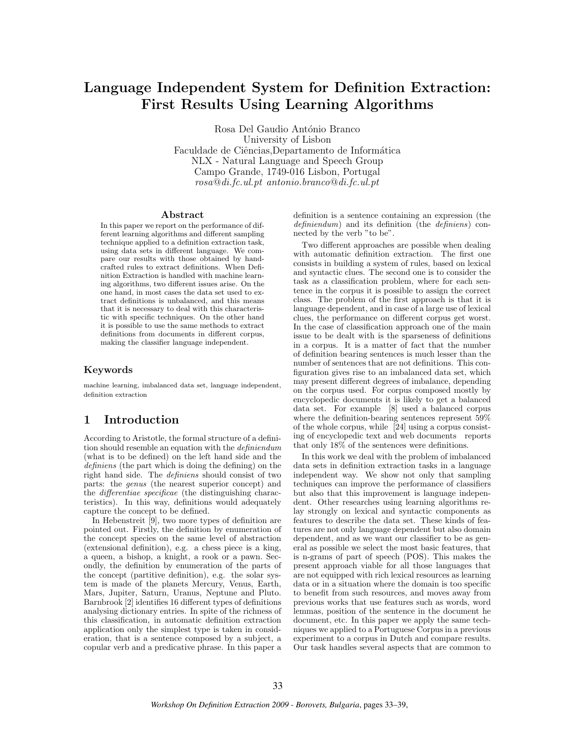# Language Independent System for Definition Extraction: First Results Using Learning Algorithms

Rosa Del Gaudio António Branco University of Lisbon Faculdade de Ciências, Departamento de Informática NLX - Natural Language and Speech Group Campo Grande, 1749-016 Lisbon, Portugal rosa@di.fc.ul.pt antonio.branco@di.fc.ul.pt

#### Abstract

In this paper we report on the performance of different learning algorithms and different sampling technique applied to a definition extraction task, using data sets in different language. We compare our results with those obtained by handcrafted rules to extract definitions. When Definition Extraction is handled with machine learning algorithms, two different issues arise. On the one hand, in most cases the data set used to extract definitions is unbalanced, and this means that it is necessary to deal with this characteristic with specific techniques. On the other hand it is possible to use the same methods to extract definitions from documents in different corpus, making the classifier language independent.

#### Keywords

machine learning, imbalanced data set, language independent, definition extraction

## 1 Introduction

According to Aristotle, the formal structure of a definition should resemble an equation with the definiendum (what is to be defined) on the left hand side and the definiens (the part which is doing the defining) on the right hand side. The definiens should consist of two parts: the genus (the nearest superior concept) and the differentiae specificae (the distinguishing characteristics). In this way, definitions would adequately capture the concept to be defined.

In Hebenstreit [9], two more types of definition are pointed out. Firstly, the definition by enumeration of the concept species on the same level of abstraction (extensional definition), e.g. a chess piece is a king, a queen, a bishop, a knight, a rook or a pawn. Secondly, the definition by enumeration of the parts of the concept (partitive definition), e.g. the solar system is made of the planets Mercury, Venus, Earth, Mars, Jupiter, Saturn, Uranus, Neptune and Pluto. Barnbrook [2] identifies 16 different types of definitions analysing dictionary entries. In spite of the richness of this classification, in automatic definition extraction application only the simplest type is taken in consideration, that is a sentence composed by a subject, a copular verb and a predicative phrase. In this paper a definition is a sentence containing an expression (the definiendum) and its definition (the definiens) connected by the verb "to be".

Two different approaches are possible when dealing with automatic definition extraction. The first one consists in building a system of rules, based on lexical and syntactic clues. The second one is to consider the task as a classification problem, where for each sentence in the corpus it is possible to assign the correct class. The problem of the first approach is that it is language dependent, and in case of a large use of lexical clues, the performance on different corpus get worst. In the case of classification approach one of the main issue to be dealt with is the sparseness of definitions in a corpus. It is a matter of fact that the number of definition bearing sentences is much lesser than the number of sentences that are not definitions. This configuration gives rise to an imbalanced data set, which may present different degrees of imbalance, depending on the corpus used. For corpus composed mostly by encyclopedic documents it is likely to get a balanced data set. For example [8] used a balanced corpus where the definition-bearing sentences represent 59% of the whole corpus, while [24] using a corpus consisting of encyclopedic text and web documents reports that only 18% of the sentences were definitions.

In this work we deal with the problem of imbalanced data sets in definition extraction tasks in a language independent way. We show not only that sampling techniques can improve the performance of classifiers but also that this improvement is language independent. Other researches using learning algorithms relay strongly on lexical and syntactic components as features to describe the data set. These kinds of features are not only language dependent but also domain dependent, and as we want our classifier to be as general as possible we select the most basic features, that is n-grams of part of speech (POS). This makes the present approach viable for all those languages that are not equipped with rich lexical resources as learning data or in a situation where the domain is too specific to benefit from such resources, and moves away from previous works that use features such as words, word lemmas, position of the sentence in the document he document, etc. In this paper we apply the same techniques we applied to a Portuguese Corpus in a previous experiment to a corpus in Dutch and compare results. Our task handles several aspects that are common to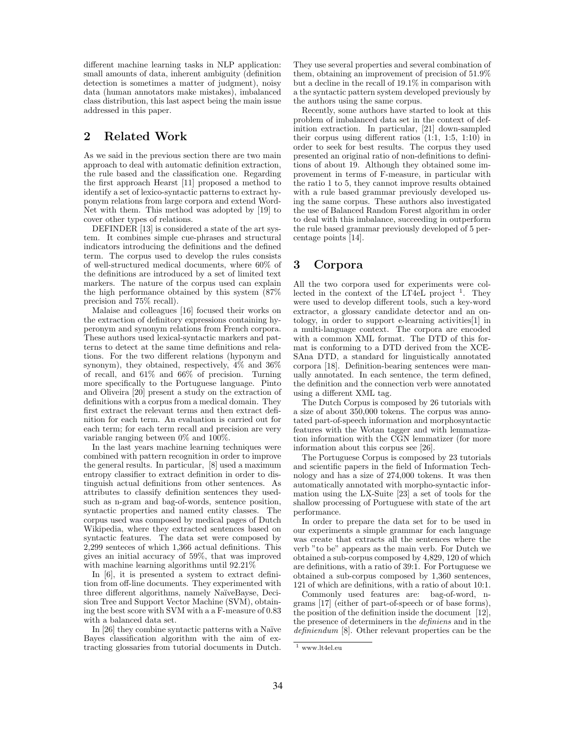different machine learning tasks in NLP application: small amounts of data, inherent ambiguity (definition detection is sometimes a matter of judgment), noisy data (human annotators make mistakes), imbalanced class distribution, this last aspect being the main issue addressed in this paper.

### 2 Related Work

As we said in the previous section there are two main approach to deal with automatic definition extraction, the rule based and the classification one. Regarding the first approach Hearst [11] proposed a method to identify a set of lexico-syntactic patterns to extract hyponym relations from large corpora and extend Word-Net with them. This method was adopted by [19] to cover other types of relations.

DEFINDER [13] is considered a state of the art system. It combines simple cue-phrases and structural indicators introducing the definitions and the defined term. The corpus used to develop the rules consists of well-structured medical documents, where 60% of the definitions are introduced by a set of limited text markers. The nature of the corpus used can explain the high performance obtained by this system (87% precision and 75% recall).

Malaise and colleagues [16] focused their works on the extraction of definitory expressions containing hyperonym and synonym relations from French corpora. These authors used lexical-syntactic markers and patterns to detect at the same time definitions and relations. For the two different relations (hyponym and synonym), they obtained, respectively, 4% and 36% of recall, and 61% and 66% of precision. Turning more specifically to the Portuguese language. Pinto and Oliveira [20] present a study on the extraction of definitions with a corpus from a medical domain. They first extract the relevant terms and then extract definition for each term. An evaluation is carried out for each term; for each term recall and precision are very variable ranging between 0% and 100%.

In the last years machine learning techniques were combined with pattern recognition in order to improve the general results. In particular, [8] used a maximum entropy classifier to extract definition in order to distinguish actual definitions from other sentences. As attributes to classify definition sentences they usedsuch as n-gram and bag-of-words, sentence position, syntactic properties and named entity classes. The corpus used was composed by medical pages of Dutch Wikipedia, where they extracted sentences based on syntactic features. The data set were composed by 2,299 senteces of which 1,366 actual definitions. This gives an initial accuracy of 59%, that was improved with machine learning algorithms until 92.21%

In [6], it is presented a system to extract definition from off-line documents. They experimented with three different algorithms, namely NaïveBayse, Decision Tree and Support Vector Machine (SVM), obtaining the best score with SVM with a a F-measure of 0.83 with a balanced data set.

In [26] they combine syntactic patterns with a Naïve Bayes classification algorithm with the aim of extracting glossaries from tutorial documents in Dutch.

They use several properties and several combination of them, obtaining an improvement of precision of 51.9% but a decline in the recall of 19.1% in comparison with a the syntactic pattern system developed previously by the authors using the same corpus.

Recently, some authors have started to look at this problem of imbalanced data set in the context of definition extraction. In particular, [21] down-sampled their corpus using different ratios (1:1, 1:5, 1:10) in order to seek for best results. The corpus they used presented an original ratio of non-definitions to definitions of about 19. Although they obtained some improvement in terms of F-measure, in particular with the ratio 1 to 5, they cannot improve results obtained with a rule based grammar previously developed using the same corpus. These authors also investigated the use of Balanced Random Forest algorithm in order to deal with this imbalance, succeeding in outperform the rule based grammar previously developed of 5 percentage points [14].

### 3 Corpora

All the two corpora used for experiments were collected in the context of the LT4 $\rm eL$  project  $\rm ^1$ . They were used to develop different tools, such a key-word extractor, a glossary candidate detector and an ontology, in order to support e-learning activities[1] in a multi-language context. The corpora are encoded with a common XML format. The DTD of this format is conforming to a DTD derived from the XCE-SAna DTD, a standard for linguistically annotated corpora [18]. Definition-bearing sentences were manually annotated. In each sentence, the term defined, the definition and the connection verb were annotated using a different XML tag.

The Dutch Corpus is composed by 26 tutorials with a size of about 350,000 tokens. The corpus was annotated part-of-speech information and morphosyntactic features with the Wotan tagger and with lemmatization information with the CGN lemmatizer (for more information about this corpus see [26].

The Portuguese Corpus is composed by 23 tutorials and scientific papers in the field of Information Technology and has a size of 274,000 tokens. It was then automatically annotated with morpho-syntactic information using the LX-Suite [23] a set of tools for the shallow processing of Portuguese with state of the art performance.

In order to prepare the data set for to be used in our experiments a simple grammar for each language was create that extracts all the sentences where the verb "to be" appears as the main verb. For Dutch we obtained a sub-corpus composed by 4,829, 120 of which are definitions, with a ratio of 39:1. For Portuguese we obtained a sub-corpus composed by 1,360 sentences, 121 of which are definitions, with a ratio of about 10:1.

Commonly used features are: bag-of-word, ngrams [17] (either of part-of-speech or of base forms), the position of the definition inside the document [12], the presence of determiners in the definiens and in the definiendum [8]. Other relevant properties can be the

 $\overline{\phantom{a}^1}$ www.lt4el.eu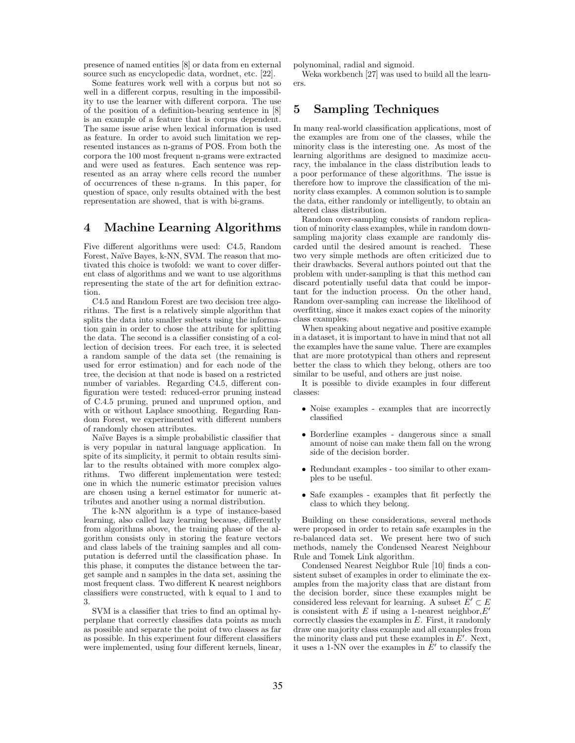presence of named entities [8] or data from en external source such as encyclopedic data, wordnet, etc. [22].

Some features work well with a corpus but not so well in a different corpus, resulting in the impossibility to use the learner with different corpora. The use of the position of a definition-bearing sentence in [8] is an example of a feature that is corpus dependent. The same issue arise when lexical information is used as feature. In order to avoid such limitation we represented instances as n-grams of POS. From both the corpora the 100 most frequent n-grams were extracted and were used as features. Each sentence was represented as an array where cells record the number of occurrences of these n-grams. In this paper, for question of space, only results obtained with the best representation are showed, that is with bi-grams.

### 4 Machine Learning Algorithms

Five different algorithms were used: C4.5, Random Forest, Naïve Bayes, k-NN, SVM. The reason that motivated this choice is twofold: we want to cover different class of algorithms and we want to use algorithms representing the state of the art for definition extraction.

C4.5 and Random Forest are two decision tree algorithms. The first is a relatively simple algorithm that splits the data into smaller subsets using the information gain in order to chose the attribute for splitting the data. The second is a classifier consisting of a collection of decision trees. For each tree, it is selected a random sample of the data set (the remaining is used for error estimation) and for each node of the tree, the decision at that node is based on a restricted number of variables. Regarding C4.5, different configuration were tested: reduced-error pruning instead of C.4.5 pruning, pruned and unpruned option, and with or without Laplace smoothing. Regarding Random Forest, we experimented with different numbers of randomly chosen attributes.

Naïve Bayes is a simple probabilistic classifier that is very popular in natural language application. In spite of its simplicity, it permit to obtain results similar to the results obtained with more complex algorithms. Two different implementation were tested: one in which the numeric estimator precision values are chosen using a kernel estimator for numeric attributes and another using a normal distribution.

The k-NN algorithm is a type of instance-based learning, also called lazy learning because, differently from algorithms above, the training phase of the algorithm consists only in storing the feature vectors and class labels of the training samples and all computation is deferred until the classification phase. In this phase, it computes the distance between the target sample and n samples in the data set, assining the most frequent class. Two different K nearest neighbors classifiers were constructed, with k equal to 1 and to 3.

SVM is a classifier that tries to find an optimal hyperplane that correctly classifies data points as much as possible and separate the point of two classes as far as possible. In this experiment four different classifiers were implemented, using four different kernels, linear, polynominal, radial and sigmoid.

Weka workbench [27] was used to build all the learners.

## 5 Sampling Techniques

In many real-world classification applications, most of the examples are from one of the classes, while the minority class is the interesting one. As most of the learning algorithms are designed to maximize accuracy, the imbalance in the class distribution leads to a poor performance of these algorithms. The issue is therefore how to improve the classification of the minority class examples. A common solution is to sample the data, either randomly or intelligently, to obtain an altered class distribution.

Random over-sampling consists of random replication of minority class examples, while in random downsampling majority class example are randomly discarded until the desired amount is reached. These two very simple methods are often criticized due to their drawbacks. Several authors pointed out that the problem with under-sampling is that this method can discard potentially useful data that could be important for the induction process. On the other hand, Random over-sampling can increase the likelihood of overfitting, since it makes exact copies of the minority class examples.

When speaking about negative and positive example in a dataset, it is important to have in mind that not all the examples have the same value. There are examples that are more prototypical than others and represent better the class to which they belong, others are too similar to be useful, and others are just noise.

It is possible to divide examples in four different classes:

- Noise examples examples that are incorrectly classified
- Borderline examples dangerous since a small amount of noise can make them fall on the wrong side of the decision border.
- Redundant examples too similar to other examples to be useful.
- Safe examples examples that fit perfectly the class to which they belong.

Building on these considerations, several methods were proposed in order to retain safe examples in the re-balanced data set. We present here two of such methods, namely the Condensed Nearest Neighbour Rule and Tomek Link algorithm.

Condensed Nearest Neighbor Rule [10] finds a consistent subset of examples in order to eliminate the examples from the majority class that are distant from the decision border, since these examples might be considered less relevant for learning. A subset  $E' \subset E$ is consistent with E if using a 1-nearest neighbor,  $E'$ correctly classies the examples in  $E$ . First, it randomly draw one majority class example and all examples from the minority class and put these examples in  $E'$ . Next, it uses a 1-NN over the examples in  $E'$  to classify the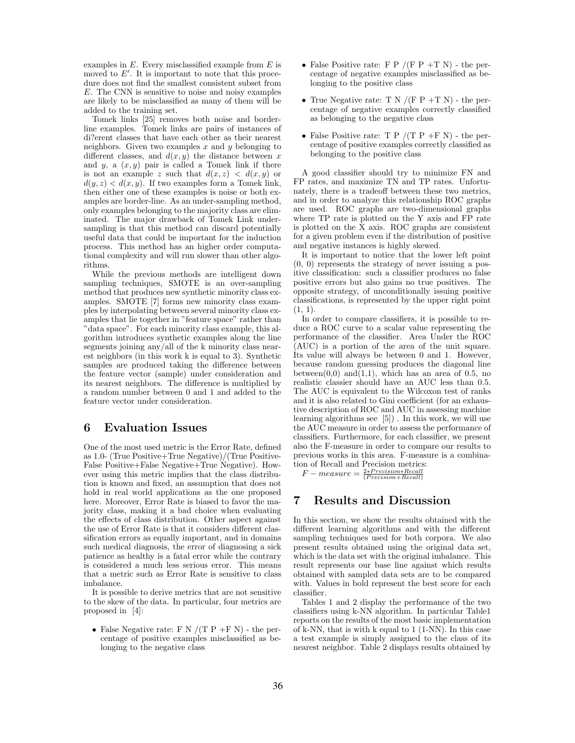examples in  $E$ . Every misclassified example from  $E$  is moved to  $E'$ . It is important to note that this procedure does not find the smallest consistent subset from E. The CNN is sensitive to noise and noisy examples are likely to be misclassified as many of them will be added to the training set.

Tomek links [25] removes both noise and borderline examples. Tomek links are pairs of instances of di?erent classes that have each other as their nearest neighbors. Given two examples  $x$  and  $y$  belonging to different classes, and  $d(x, y)$  the distance between x and y, a  $(x, y)$  pair is called a Tomek link if there is not an example z such that  $d(x, z) < d(x, y)$  or  $d(y, z) < d(x, y)$ . If two examples form a Tomek link, then either one of these examples is noise or both examples are border-line. As an under-sampling method, only examples belonging to the majority class are eliminated. The major drawback of Tomek Link undersampling is that this method can discard potentially useful data that could be important for the induction process. This method has an higher order computational complexity and will run slower than other algorithms.

While the previous methods are intelligent down sampling techniques, SMOTE is an over-sampling method that produces new synthetic minority class examples. SMOTE [7] forms new minority class examples by interpolating between several minority class examples that lie together in "feature space" rather than "data space". For each minority class example, this algorithm introduces synthetic examples along the line segments joining any/all of the k minority class nearest neighbors (in this work k is equal to 3). Synthetic samples are produced taking the difference between the feature vector (sample) under consideration and its nearest neighbors. The difference is multiplied by a random number between 0 and 1 and added to the feature vector under consideration.

#### 6 Evaluation Issues

One of the most used metric is the Error Rate, defined as 1.0- (True Positive+True Negative)/(True Positive-False Positive+False Negative+True Negative). However using this metric implies that the class distribution is known and fixed, an assumption that does not hold in real world applications as the one proposed here. Moreover, Error Rate is biased to favor the majority class, making it a bad choice when evaluating the effects of class distribution. Other aspect against the use of Error Rate is that it considers different classification errors as equally important, and in domains such medical diagnosis, the error of diagnosing a sick patience as healthy is a fatal error while the contrary is considered a much less serious error. This means that a metric such as Error Rate is sensitive to class imbalance.

It is possible to derive metrics that are not sensitive to the skew of the data. In particular, four metrics are proposed in [4]:

• False Negative rate: F N  $/$ (T P +F N) - the percentage of positive examples misclassified as belonging to the negative class

- False Positive rate: F P  $/$ (F P + T N) the percentage of negative examples misclassified as belonging to the positive class
- True Negative rate: T N  $/(F P + T N)$  the percentage of negative examples correctly classified as belonging to the negative class
- False Positive rate: T P  $/$ (T P +F N) the percentage of positive examples correctly classified as belonging to the positive class

A good classifier should try to minimize FN and FP rates, and maximize TN and TP rates. Unfortunately, there is a tradeoff between these two metrics, and in order to analyze this relationship ROC graphs are used. ROC graphs are two-dimensional graphs where TP rate is plotted on the Y axis and FP rate is plotted on the X axis. ROC graphs are consistent for a given problem even if the distribution of positive and negative instances is highly skewed.

It is important to notice that the lower left point (0, 0) represents the strategy of never issuing a positive classification: such a classifier produces no false positive errors but also gains no true positives. The opposite strategy, of unconditionally issuing positive classifications, is represented by the upper right point  $(1, 1)$ .

In order to compare classifiers, it is possible to reduce a ROC curve to a scalar value representing the performance of the classifier. Area Under the ROC (AUC) is a portion of the area of the unit square. Its value will always be between 0 and 1. However, because random guessing produces the diagonal line between $(0,0)$  and $(1,1)$ , which has an area of 0.5, no realistic classier should have an AUC less than 0.5. The AUC is equivalent to the Wilcoxon test of ranks and it is also related to Gini coefficient (for an exhaustive description of ROC and AUC in assessing machine learning algorithms see [5]) . In this work, we will use the AUC measure in order to assess the performance of classifiers. Furthermore, for each classifier, we present also the F-measure in order to compare our results to previous works in this area. F-measure is a combination of Recall and Precision metrics:

 $F-measure = \frac{2*Precision*Recall}{(Precision+Recall)}$ 

#### 7 Results and Discussion

In this section, we show the results obtained with the different learning algorithms and with the different sampling techniques used for both corpora. We also present results obtained using the original data set, which is the data set with the original imbalance. This result represents our base line against which results obtained with sampled data sets are to be compared with. Values in bold represent the best score for each classifier.

Tables 1 and 2 display the performance of the two classifiers using k-NN algorithm. In particular Table1 reports on the results of the most basic implementation of k-NN, that is with k equal to 1 (1-NN). In this case a test example is simply assigned to the class of its nearest neighbor. Table 2 displays results obtained by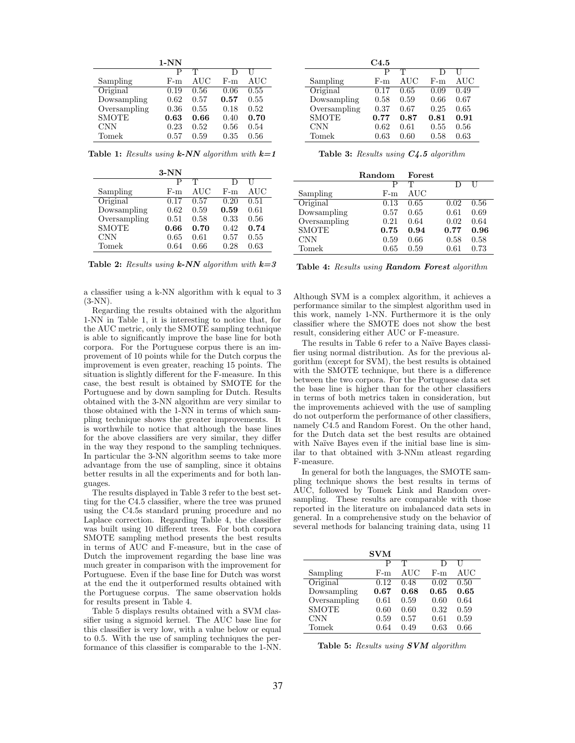|              | $1-NN$ |      |       |      |
|--------------|--------|------|-------|------|
|              | р      | T    |       |      |
| Sampling     | F-m    | AUC  | $F-m$ | AUC  |
| Original     | 0.19   | 0.56 | 0.06  | 0.55 |
| Dowsampling  | 0.62   | 0.57 | 0.57  | 0.55 |
| Oversampling | 0.36   | 0.55 | 0.18  | 0.52 |
| <b>SMOTE</b> | 0.63   | 0.66 | 0.40  | 0.70 |
| CNN          | 0.23   | 0.52 | 0.56  | 0.54 |
| Tomek        | 0.57   | 0.59 | 0.35  | 0.56 |

Table 1: Results using  $k$ -NN algorithm with  $k=1$ 

|              | $3-NN$ |      |       |      |
|--------------|--------|------|-------|------|
|              | Р      | T    |       |      |
| Sampling     | $F-m$  | AUC  | $F-m$ | AUC  |
| Original     | 0.17   | 0.57 | 0.20  | 0.51 |
| Dowsampling  | 0.62   | 0.59 | 0.59  | 0.61 |
| Oversampling | 0.51   | 0.58 | 0.33  | 0.56 |
| <b>SMOTE</b> | 0.66   | 0.70 | 0.42  | 0.74 |
| CNN          | 0.65   | 0.61 | 0.57  | 0.55 |
| Tomek        | 0.64   | 0.66 | 0.28  | 0.63 |

Table 2: Results using  $k$ -NN algorithm with  $k=3$ 

a classifier using a k-NN algorithm with k equal to 3  $(3-NN)$ .

Regarding the results obtained with the algorithm 1-NN in Table 1, it is interesting to notice that, for the AUC metric, only the SMOTE sampling technique is able to significantly improve the base line for both corpora. For the Portuguese corpus there is an improvement of 10 points while for the Dutch corpus the improvement is even greater, reaching 15 points. The situation is slightly different for the F-measure. In this case, the best result is obtained by SMOTE for the Portuguese and by down sampling for Dutch. Results obtained with the 3-NN algorithm are very similar to those obtained with the 1-NN in terms of which sampling technique shows the greater improvements. It is worthwhile to notice that although the base lines for the above classifiers are very similar, they differ in the way they respond to the sampling techniques. In particular the 3-NN algorithm seems to take more advantage from the use of sampling, since it obtains better results in all the experiments and for both languages.

The results displayed in Table 3 refer to the best setting for the C4.5 classifier, where the tree was pruned using the C4.5s standard pruning procedure and no Laplace correction. Regarding Table 4, the classifier was built using 10 different trees. For both corpora SMOTE sampling method presents the best results in terms of AUC and F-measure, but in the case of Dutch the improvement regarding the base line was much greater in comparison with the improvement for Portuguese. Even if the base Iine for Dutch was worst at the end the it outperformed results obtained with the Portuguese corpus. The same observation holds for results present in Table 4.

Table 5 displays results obtained with a SVM classifier using a sigmoid kernel. The AUC base line for this classifier is very low, with a value below or equal to 0.5. With the use of sampling techniques the performance of this classifier is comparable to the 1-NN.

|              | C4.5 |      |       |      |
|--------------|------|------|-------|------|
|              | р    | T    |       |      |
| Sampling     | F-m  | AUC  | $F-m$ | AUC  |
| Original     | 0.17 | 0.65 | 0.09  | 0.49 |
| Dowsampling  | 0.58 | 0.59 | 0.66  | 0.67 |
| Oversampling | 0.37 | 0.67 | 0.25  | 0.65 |
| <b>SMOTE</b> | 0.77 | 0.87 | 0.81  | 0.91 |
| <b>CNN</b>   | 0.62 | 0.61 | 0.55  | 0.56 |
| Tomek        | 0.63 | 0.60 | 0.58  | 0.63 |

|  |  |  |  | <b>Table 3:</b> Results using $C$ 4.5 algorithm |
|--|--|--|--|-------------------------------------------------|
|--|--|--|--|-------------------------------------------------|

|              | Random | Forest |          |      |
|--------------|--------|--------|----------|------|
|              | Р      | T      |          | Н    |
| Sampling     | $F-m$  | AUC    |          |      |
| Original     | 0.13   | 0.65   | 0.02     | 0.56 |
| Dowsampling  | 0.57   | 0.65   | 0.61     | 0.69 |
| Oversampling | 0.21   | 0.64   | 0.02     | 0.64 |
| <b>SMOTE</b> | 0.75   | 0.94   | 0.77     | 0.96 |
| <b>CNN</b>   | 0.59   | 0.66   | 0.58     | 0.58 |
| Tomek        | 0.65   | 0.59   | $0.61\,$ | 0.73 |

Table 4: Results using Random Forest algorithm

Although SVM is a complex algorithm, it achieves a performance similar to the simplest algorithm used in this work, namely 1-NN. Furthermore it is the only classifier where the SMOTE does not show the best result, considering either AUC or F-measure.

The results in Table 6 refer to a Naïve Bayes classifier using normal distribution. As for the previous algorithm (except for SVM), the best results is obtained with the SMOTE technique, but there is a difference between the two corpora. For the Portuguese data set the base line is higher than for the other classifiers in terms of both metrics taken in consideration, but the improvements achieved with the use of sampling do not outperform the performance of other classifiers, namely C4.5 and Random Forest. On the other hand, for the Dutch data set the best results are obtained with Naïve Bayes even if the initial base line is similar to that obtained with 3-NNm atleast regarding F-measure.

In general for both the languages, the SMOTE sampling technique shows the best results in terms of AUC, followed by Tomek Link and Random oversampling. These results are comparable with those reported in the literature on imbalanced data sets in general. In a comprehensive study on the behavior of several methods for balancing training data, using 11

|              | <b>SVM</b> |      |       |      |
|--------------|------------|------|-------|------|
|              | р          | Т    |       |      |
| Sampling     | $F-m$      | AUC  | $F-m$ | AUC  |
| Original     | 0.12       | 0.48 | 0.02  | 0.50 |
| Dowsampling  | 0.67       | 0.68 | 0.65  | 0.65 |
| Oversampling | 0.61       | 0.59 | 0.60  | 0.64 |
| <b>SMOTE</b> | 0.60       | 0.60 | 0.32  | 0.59 |
| <b>CNN</b>   | 0.59       | 0.57 | 0.61  | 0.59 |
| Tomek        | 0.64       | 0.49 | 0.63  | 0.66 |

Table 5: Results using SVM algorithm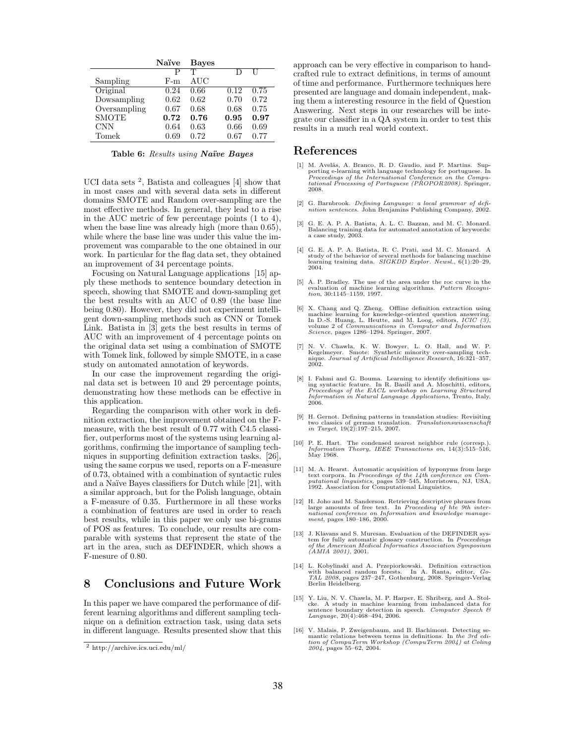|              | Naïve | <b>Bayes</b> |      |      |
|--------------|-------|--------------|------|------|
|              | D     | T            | D    |      |
| Sampling     | F-m   | AUC          |      |      |
| Original     | 0.24  | 0.66         | 0.12 | 0.75 |
| Dowsampling  | 0.62  | 0.62         | 0.70 | 0.72 |
| Oversampling | 0.67  | 0.68         | 0.68 | 0.75 |
| <b>SMOTE</b> | 0.72  | 0.76         | 0.95 | 0.97 |
| <b>CNN</b>   | 0.64  | 0.63         | 0.66 | 0.69 |
| Tomek        | 0.69  | 0.72         | 0.67 | 0.77 |

Table 6: Results using Naïve Bayes

UCI data sets <sup>2</sup>, Batista and colleagues [4] show that in most cases and with several data sets in different domains SMOTE and Random over-sampling are the most effective methods. In general, they lead to a rise in the AUC metric of few percentage points (1 to 4), when the base line was already high (more than 0.65), while where the base line was under this value the improvement was comparable to the one obtained in our work. In particular for the flag data set, they obtained an improvement of 34 percentage points.

Focusing on Natural Language applications [15] apply these methods to sentence boundary detection in speech, showing that SMOTE and down-sampling get the best results with an AUC of 0.89 (the base line being 0.80). However, they did not experiment intelligent down-sampling methods such as CNN or Tomek Link. Batista in [3] gets the best results in terms of AUC with an improvement of 4 percentage points on the original data set using a combination of SMOTE with Tomek link, followed by simple SMOTE, in a case study on automated annotation of keywords.

In our case the improvement regarding the original data set is between 10 and 29 percentage points, demonstrating how these methods can be effective in this application.

Regarding the comparison with other work in definition extraction, the improvement obtained on the Fmeasure, with the best result of 0.77 with C4.5 classifier, outperforms most of the systems using learning algorithms, confirming the importance of sampling techniques in supporting definition extraction tasks. [26], using the same corpus we used, reports on a F-measure of 0.73, obtained with a combination of syntactic rules and a Na¨ıve Bayes classifiers for Dutch while [21], with a similar approach, but for the Polish language, obtain a F-measure of 0.35. Furthermore in all these works a combination of features are used in order to reach best results, while in this paper we only use bi-grams of POS as features. To conclude, our results are comparable with systems that represent the state of the art in the area, such as DEFINDER, which shows a F-mesure of 0.80.

#### 8 Conclusions and Future Work

In this paper we have compared the performance of different learning algorithms and different sampling technique on a definition extraction task, using data sets in different language. Results presented show that this approach can be very effective in comparison to handcrafted rule to extract definitions, in terms of amount of time and performance. Furthermore techniques here presented are language and domain independent, making them a interesting resource in the field of Question Answering. Next steps in our researches will be integrate our classifier in a QA system in order to test this results in a much real world context.

#### References

- [1] M. Avel˜as, A. Branco, R. D. Gaudio, and P. Martins. Sup-porting e-learning with language technology for portuguese. In Proceedings of the International Conference on the Computational Processing of Portuguese (PROPOR2008). Springer, 2008.
- [2] G. Barnbrook. Defining Language: a local grammar of definition sentences. John Benjamins Publishing Company, 2002.
- [3] G. E. A. P. A. Batista, A. L. C. Bazzan, and M. C. Monard. Balancing training data for automated annotation of keywords: a case study, 2003.
- [4] G. E. A. P. A. Batista, R. C. Prati, and M. C. Monard. A study of the behavior of several methods for balancing machine learning training data. SIGKDD Explor. Newsl., 6(1):20-29, 2004.
- [5] A. P. Bradley. The use of the area under the roc curve in the evaluation of machine learning algorithms. *Pattern Recogni*tion, 30:1145–1159, 1997.
- [6] X. Chang and Q. Zheng. Offline definition extraction using machine learning for knowledge-oriented question answering. In D.-S. Huang, L. Heutte, and M. Loog, editors, ICIC (3), volume 2 of Communications in Computer and Information Science, pages 1286–1294. Springer, 2007.
- [7] N. V. Chawla, K. W. Bowyer, L. O. Hall, and W. P. Kegelmeyer. Smote: Synthetic minority over-sampling tech-nique. Journal of Artificial Intelligence Research, 16:321–357, 2002.
- [8] I. Fahmi and G. Bouma. Learning to identify definitions us-ing syntactic feature. In R. Basili and A. Moschitti, editors, Proceedings of the EACL workshop on Learning Structured Information in Natural Language Applications, Trento, Italy, 2006.
- [9] H. Gernot. Defining patterns in translation studies: Revisiting two classics of german translation. Translationswissenschaft in Target, 19(2):197–215, 2007.
- [10] P. E. Hart. The condensed nearest neighbor rule (corresp.). Information Theory, IEEE Transactions on, 14(3):515–516, May 1968.
- [11] M. A. Hearst. Automatic acquisition of hyponyms from large text corpora. In *Proceedings of the 14th conference on Computational linguistics*, pages 539-545, Morristown, NJ, USA, 1992. Association for Computational L
- [12] H. Joho and M. Sanderson. Retrieving descriptive phrases from large amounts of free text. In Proceeding of hte 9th international conference on Information and knowledge management, pages 180–186, 2000.
- [13] J. Klavans and S. Muresan. Evaluation of the DEFINDER system for fully automatic glossary construction. In Proceedings of the American Medical Informatics Association Symposium (AMIA 2001), 2001.
- [14] L. Kobylinski and A. Przepiorkowski. Definition extraction with balanced random forests. In A. Ranta, editor, Go-TAL 2008, pages 237–247, Gothenburg, 2008. Springer-Verlag Berlin Heidelberg.
- [15] Y. Liu, N. V. Chawla, M. P. Harper, E. Shriberg, and A. Stol-cke. A study in machine learning from imbalanced data for sentence boundary detection in speech. Computer Speech & Language, 20(4):468–494, 2006.
- [16] V. Malais, P. Zweigenbaum, and B. Bachimont. Detecting semantic relations between terms in definitions. In the 3rd edition of CompuTerm Workshop (CompuTerm 2004) at Coling 2004, pages 55–62, 2004.

 $^2$ http://archive.ics.uci.edu/ml/